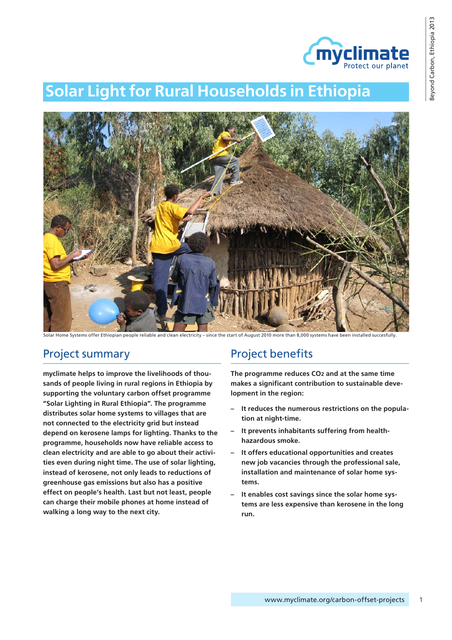

# **Solar Light for Rural Households in Ethiopia**



Solar Home Systems offer Ethiopian people reliable and clean electricity – since the start of August 2010 more than 8,000 systems have been installed succesfully.

### Project summary

**myclimate helps to improve the livelihoods of thousands of people living in rural regions in Ethiopia by supporting the voluntary carbon offset programme "Solar Lighting in Rural Ethiopia". The programme distributes solar home systems to villages that are not connected to the electricity grid but instead depend on kerosene lamps for lighting. Thanks to the programme, households now have reliable access to clean electricity and are able to go about their activities even during night time. The use of solar lighting, instead of kerosene, not only leads to reductions of greenhouse gas emissions but also has a positive effect on people's health. Last but not least, people can charge their mobile phones at home instead of walking a long way to the next city.**

### Project benefits

**The programme reduces CO2 and at the same time makes a significant contribution to sustainable development in the region:**

- **– It reduces the numerous restrictions on the population at night-time.**
- **– It prevents inhabitants suffering from healthhazardous smoke.**
- **– It offers educational opportunities and creates new job vacancies through the professional sale, installation and maintenance of solar home systems.**
- **– It enables cost savings since the solar home systems are less expensive than kerosene in the long run.**

1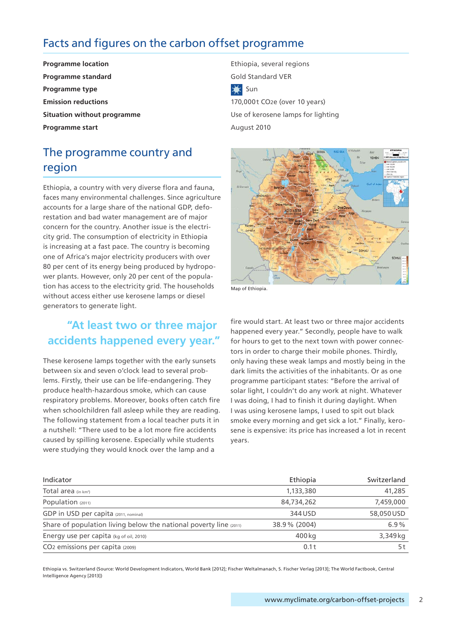### Facts and figures on the carbon offset programme

**Programme standard Gold Standard VER Programme type** Sun **Emission reductions** 170,000t CO<sub>2</sub>e (over 10 years) **Programme start** August 2010

# The programme country and region

Ethiopia, a country with very diverse flora and fauna, faces many environmental challenges. Since agriculture accounts for a large share of the national GDP, deforestation and bad water management are of major concern for the country. Another issue is the electricity grid. The consumption of electricity in Ethiopia is increasing at a fast pace. The country is becoming one of Africa's major electricity producers with over 80 per cent of its energy being produced by hydropower plants. However, only 20 per cent of the population has access to the electricity grid. The households without access either use kerosene lamps or diesel generators to generate light.

### **"At least two or three major accidents happened every year."**

These kerosene lamps together with the early sunsets between six and seven o'clock lead to several problems. Firstly, their use can be life-endangering. They produce health-hazardous smoke, which can cause respiratory problems. Moreover, books often catch fire when schoolchildren fall asleep while they are reading. The following statement from a local teacher puts it in a nutshell: "There used to be a lot more fire accidents caused by spilling kerosene. Especially while students were studying they would knock over the lamp and a

**Programme location Ethiopia**, several regions **Programme location Situation without programme Example 2018** Use of kerosene lamps for lighting



Map of Ethiopia.

fire would start. At least two or three major accidents happened every year." Secondly, people have to walk for hours to get to the next town with power connectors in order to charge their mobile phones. Thirdly, only having these weak lamps and mostly being in the dark limits the activities of the inhabitants. Or as one programme participant states: "Before the arrival of solar light, I couldn't do any work at night. Whatever I was doing, I had to finish it during daylight. When I was using kerosene lamps, I used to spit out black smoke every morning and get sick a lot." Finally, kerosene is expensive: its price has increased a lot in recent years.

| Indicator                                                         | Ethiopia     | Switzerland |
|-------------------------------------------------------------------|--------------|-------------|
| Total area (in km <sup>2</sup> )                                  | 1,133,380    | 41,285      |
| Population (2011)                                                 | 84,734,262   | 7,459,000   |
| GDP in USD per capita (2011, nominal)                             | 344 USD      | 58,050 USD  |
| Share of population living below the national poverty line (2011) | 38.9% (2004) | 6.9%        |
| Energy use per capita (kg of oil, 2010)                           | 400 kg       | 3,349 kg    |
| CO <sub>2</sub> emissions per capita (2009)                       | 0.1t         | 5 t         |

Ethiopia vs. Switzerland (Source: World Development Indicators, World Bank [2012]; Fischer Weltalmanach, S. Fischer Verlag [2013]; The World Factbook, Central Intelligence Agency [2013])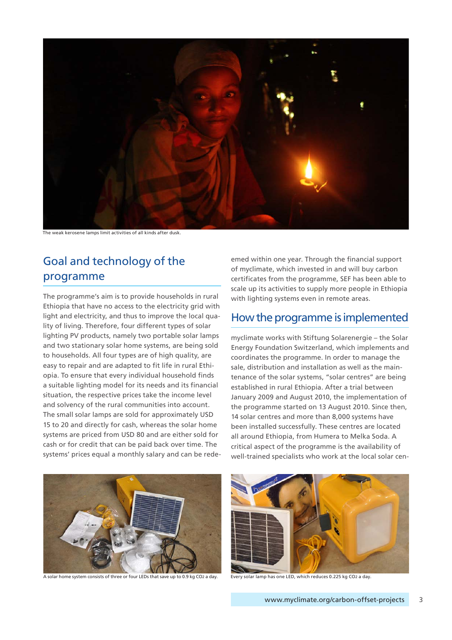

The weak kerosene lamps limit activities of all kinds after dusk.

# Goal and technology of the programme

The programme's aim is to provide households in rural Ethiopia that have no access to the electricity grid with light and electricity, and thus to improve the local quality of living. Therefore, four different types of solar lighting PV products, namely two portable solar lamps and two stationary solar home systems, are being sold to households. All four types are of high quality, are easy to repair and are adapted to fit life in rural Ethiopia. To ensure that every individual household finds a suitable lighting model for its needs and its financial situation, the respective prices take the income level and solvency of the rural communities into account. The small solar lamps are sold for approximately USD 15 to 20 and directly for cash, whereas the solar home systems are priced from USD 80 and are either sold for cash or for credit that can be paid back over time. The systems' prices equal a monthly salary and can be redeemed within one year. Through the financial support of myclimate, which invested in and will buy carbon certificates from the programme, SEF has been able to scale up its activities to supply more people in Ethiopia with lighting systems even in remote areas.

### How the programme is implemented

myclimate works with Stiftung Solarenergie – the Solar Energy Foundation Switzerland, which implements and coordinates the programme. In order to manage the sale, distribution and installation as well as the maintenance of the solar systems, "solar centres" are being established in rural Ethiopia. After a trial between January 2009 and August 2010, the implementation of the programme started on 13 August 2010. Since then, 14 solar centres and more than 8,000 systems have been installed successfully. These centres are located all around Ethiopia, from Humera to Melka Soda. A critical aspect of the programme is the availability of well-trained specialists who work at the local solar cen-



A solar home system consists of three or four LEDs that save up to 0.9 kg CO2 a day. Every solar lamp has one LED, which reduces 0.225 kg CO2 a day.

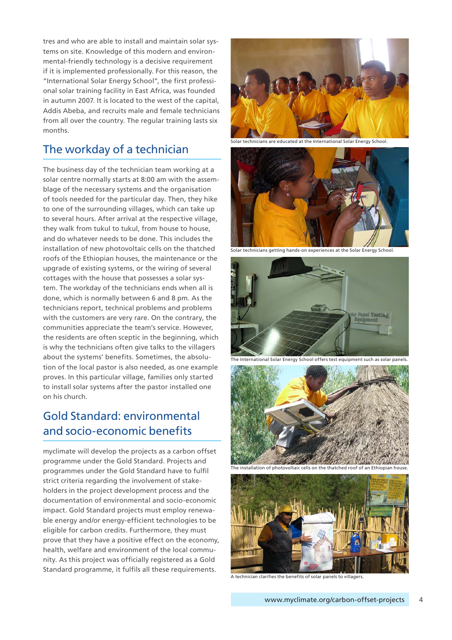tres and who are able to install and maintain solar systems on site. Knowledge of this modern and environmental-friendly technology is a decisive requirement if it is implemented professionally. For this reason, the "International Solar Energy School", the first professional solar training facility in East Africa, was founded in autumn 2007. It is located to the west of the capital, Addis Abeba, and recruits male and female technicians from all over the country. The regular training lasts six months.

### The workday of a technician

The business day of the technician team working at a solar centre normally starts at 8:00 am with the assemblage of the necessary systems and the organisation of tools needed for the particular day. Then, they hike to one of the surrounding villages, which can take up to several hours. After arrival at the respective village, they walk from tukul to tukul, from house to house, and do whatever needs to be done. This includes the installation of new photovoltaic cells on the thatched roofs of the Ethiopian houses, the maintenance or the upgrade of existing systems, or the wiring of several cottages with the house that possesses a solar system. The workday of the technicians ends when all is done, which is normally between 6 and 8 pm. As the technicians report, technical problems and problems with the customers are very rare. On the contrary, the communities appreciate the team's service. However, the residents are often sceptic in the beginning, which is why the technicians often give talks to the villagers about the systems' benefits. Sometimes, the absolution of the local pastor is also needed, as one example proves. In this particular village, families only started to install solar systems after the pastor installed one on his church.

### Gold Standard: environmental and socio-economic benefits

myclimate will develop the projects as a carbon offset programme under the Gold Standard. Projects and programmes under the Gold Standard have to fulfil strict criteria regarding the involvement of stakeholders in the project development process and the documentation of environmental and socio-economic impact. Gold Standard projects must employ renewable energy and/or energy-efficient technologies to be eligible for carbon credits. Furthermore, they must prove that they have a positive effect on the economy, health, welfare and environment of the local community. As this project was officially registered as a Gold Standard programme, it fulfils all these requirements.



Solar technicians are educated at the International Solar Energy School.



Solar technicians getting hands-on experiences at the Solar Energy School.



The International Solar Energy School offers test equipment such as solar panels.





A technician clarifies the benefits of solar panels to villagers.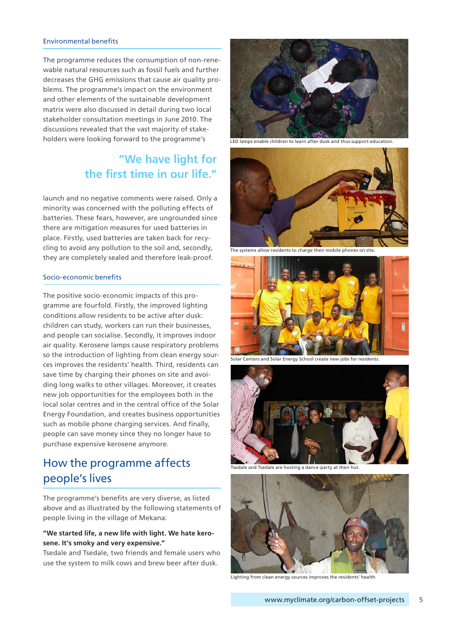#### Environmental benefits

The programme reduces the consumption of non-renewable natural resources such as fossil fuels and further decreases the GHG emissions that cause air quality problems. The programme's impact on the environment and other elements of the sustainable development matrix were also discussed in detail during two local stakeholder consultation meetings in June 2010. The discussions revealed that the vast majority of stakeholders were looking forward to the programme's

### **"We have light for the first time in our life."**

launch and no negative comments were raised. Only a minority was concerned with the polluting effects of batteries. These fears, however, are ungrounded since there are mitigation measures for used batteries in place. Firstly, used batteries are taken back for recycling to avoid any pollution to the soil and, secondly, they are completely sealed and therefore leak-proof.

#### Socio-economic benefits

The positive socio-economic impacts of this programme are fourfold. Firstly, the improved lighting conditions allow residents to be active after dusk: children can study, workers can run their businesses, and people can socialise. Secondly, it improves indoor air quality. Kerosene lamps cause respiratory problems so the introduction of lighting from clean energy sources improves the residents' health. Third, residents can save time by charging their phones on site and avoiding long walks to other villages. Moreover, it creates new job opportunities for the employees both in the local solar centres and in the central office of the Solar Energy Foundation, and creates business opportunities such as mobile phone charging services. And finally, people can save money since they no longer have to purchase expensive kerosene anymore.

### How the programme affects people's lives

The programme's benefits are very diverse, as listed above and as illustrated by the following statements of people living in the village of Mekana:

#### **"We started life, a new life with light. We hate kerosene. It's smoky and very expensive."**

Tsedale and Tsedale, two friends and female users who use the system to milk cows and brew beer after dusk.



LED lamps enable children to learn after dusk and thus support education.



The systems allow residents to charge their mobile phones on site.



Solar Centers and Solar Energy School create new jobs for residents.



Tsedale and Tsedale are hosting a dance-party at their hut.



Lighting from clean energy sources improves the residents' health.